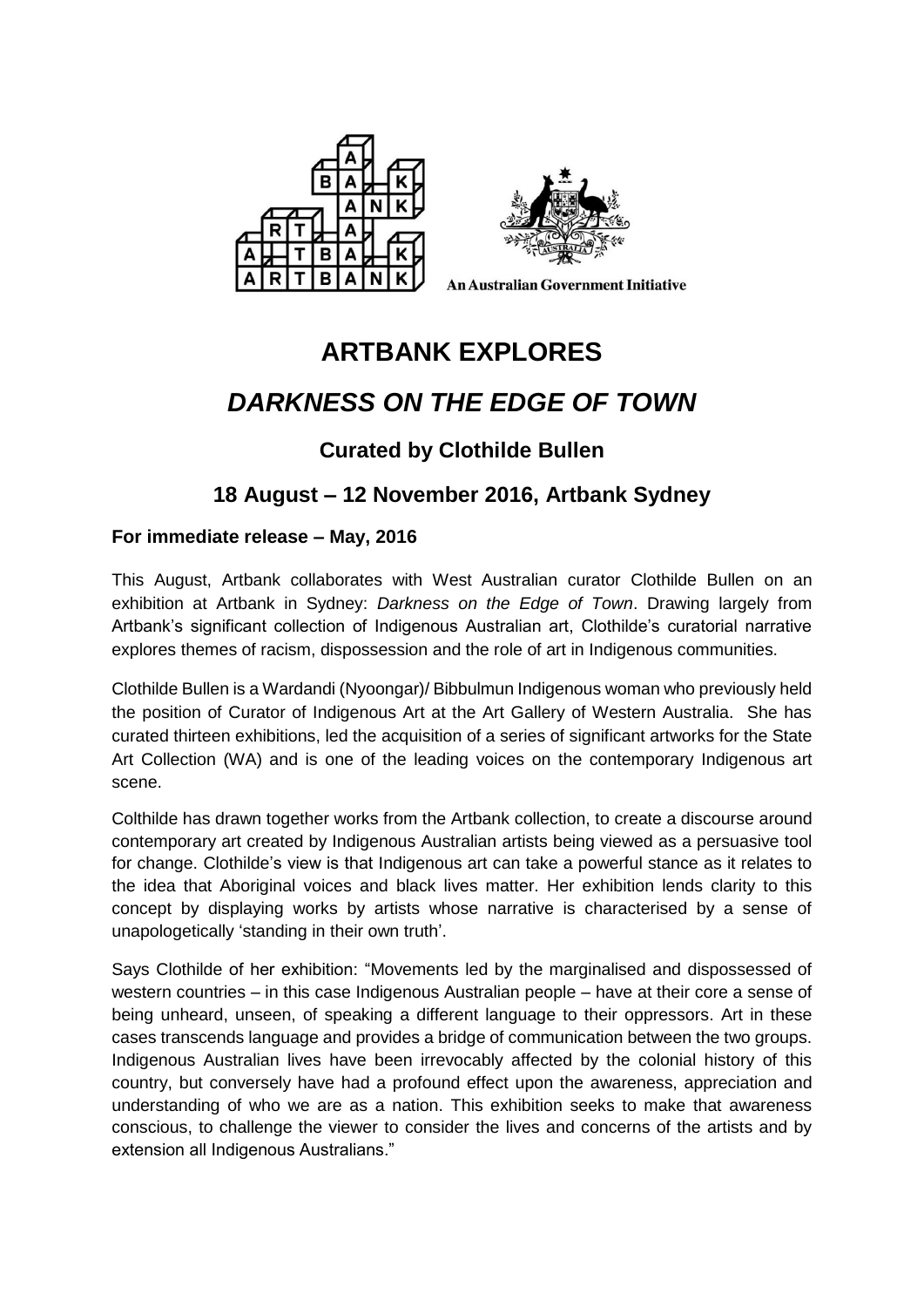



**An Australian Government Initiative** 

# **ARTBANK EXPLORES**

# *DARKNESS ON THE EDGE OF TOWN*

## **Curated by Clothilde Bullen**

### **18 August – 12 November 2016, Artbank Sydney**

### **For immediate release – May, 2016**

This August, Artbank collaborates with West Australian curator Clothilde Bullen on an exhibition at Artbank in Sydney: *Darkness on the Edge of Town*. Drawing largely from Artbank's significant collection of Indigenous Australian art, Clothilde's curatorial narrative explores themes of racism, dispossession and the role of art in Indigenous communities.

Clothilde Bullen is a Wardandi (Nyoongar)/ Bibbulmun Indigenous woman who previously held the position of Curator of Indigenous Art at the Art Gallery of Western Australia. She has curated thirteen exhibitions, led the acquisition of a series of significant artworks for the State Art Collection (WA) and is one of the leading voices on the contemporary Indigenous art scene.

Colthilde has drawn together works from the Artbank collection, to create a discourse around contemporary art created by Indigenous Australian artists being viewed as a persuasive tool for change. Clothilde's view is that Indigenous art can take a powerful stance as it relates to the idea that Aboriginal voices and black lives matter. Her exhibition lends clarity to this concept by displaying works by artists whose narrative is characterised by a sense of unapologetically 'standing in their own truth'.

Says Clothilde of her exhibition: "Movements led by the marginalised and dispossessed of western countries – in this case Indigenous Australian people – have at their core a sense of being unheard, unseen, of speaking a different language to their oppressors. Art in these cases transcends language and provides a bridge of communication between the two groups. Indigenous Australian lives have been irrevocably affected by the colonial history of this country, but conversely have had a profound effect upon the awareness, appreciation and understanding of who we are as a nation. This exhibition seeks to make that awareness conscious, to challenge the viewer to consider the lives and concerns of the artists and by extension all Indigenous Australians."